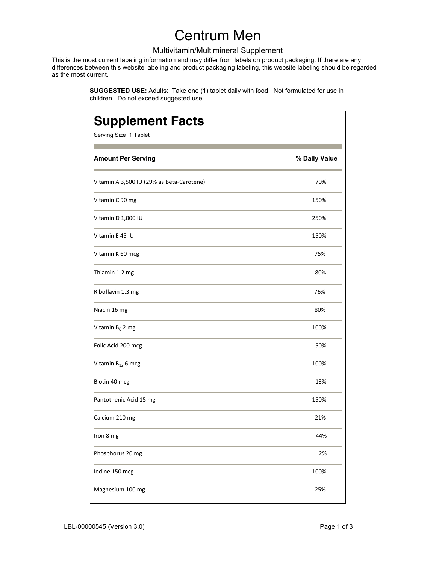# Centrum Men

#### Multivitamin/Multimineral Supplement

This is the most current labeling information and may differ from labels on product packaging. If there are any differences between this website labeling and product packaging labeling, this website labeling should be regarded as the most current.

> **SUGGESTED USE:** Adults: Take one (1) tablet daily with food. Not formulated for use in children. Do not exceed suggested use.

| <b>Supplement Facts</b><br>Serving Size 1 Tablet |               |
|--------------------------------------------------|---------------|
| <b>Amount Per Serving</b>                        | % Daily Value |
| Vitamin A 3,500 IU (29% as Beta-Carotene)        | 70%           |
| Vitamin C 90 mg                                  | 150%          |
| Vitamin D 1,000 IU                               | 250%          |
| Vitamin E 45 IU                                  | 150%          |
| Vitamin K 60 mcg                                 | 75%           |
| Thiamin 1.2 mg                                   | 80%           |
| Riboflavin 1.3 mg                                | 76%           |
| Niacin 16 mg                                     | 80%           |
| Vitamin $B_6$ 2 mg                               | 100%          |
| Folic Acid 200 mcg                               | 50%           |
| Vitamin B <sub>12</sub> 6 mcg                    | 100%          |
| Biotin 40 mcg                                    | 13%           |
| Pantothenic Acid 15 mg                           | 150%          |
| Calcium 210 mg                                   | 21%           |
| Iron 8 mg                                        | 44%           |
| Phosphorus 20 mg                                 | 2%            |
| Iodine 150 mcg                                   | 100%          |
| Magnesium 100 mg                                 | 25%           |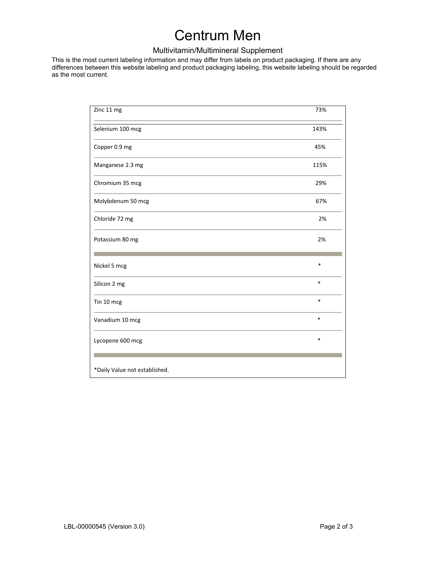# Centrum Men

### Multivitamin/Multimineral Supplement

This is the most current labeling information and may differ from labels on product packaging. If there are any differences between this website labeling and product packaging labeling, this website labeling should be regarded as the most current.

| Zinc 11 mg                    | 73%    |
|-------------------------------|--------|
| Selenium 100 mcg              | 143%   |
| Copper 0.9 mg                 | 45%    |
| Manganese 2.3 mg              | 115%   |
| Chromium 35 mcg               | 29%    |
| Molybdenum 50 mcg             | 67%    |
| Chloride 72 mg                | 2%     |
| Potassium 80 mg               | 2%     |
| Nickel 5 mcg                  | $\ast$ |
| Silicon 2 mg                  | $\ast$ |
| Tin 10 mcg                    | $\ast$ |
| Vanadium 10 mcg               | $\ast$ |
| Lycopene 600 mcg              | $\ast$ |
|                               |        |
| *Daily Value not established. |        |